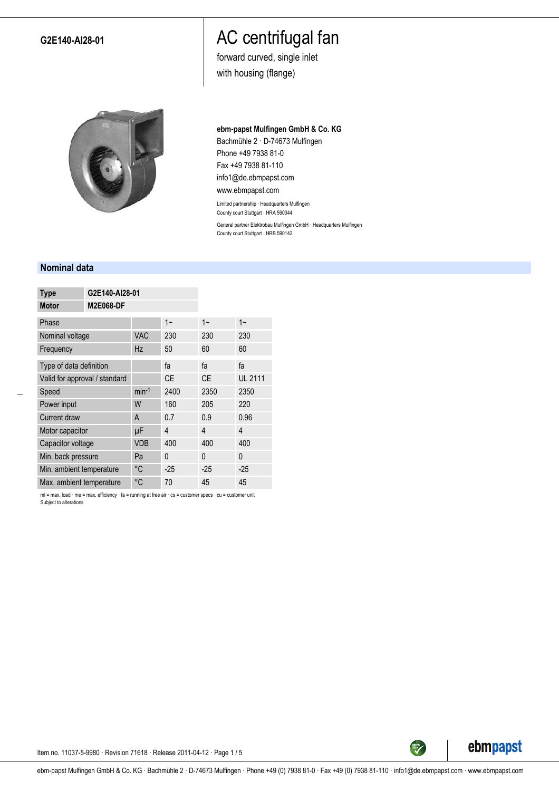## **G2E140-AI28-01**

# AC centrifugal fan

forward curved, single inlet with housing (flange)



#### **ebm-papst Mulfingen GmbH & Co. KG**

Bachmühle 2 · D-74673 Mulfingen Phone +49 7938 81-0 Fax +49 7938 81-110 info1@de.ebmpapst.com www.ebmpapst.com

Limited partnership · Headquarters Mulfingen County court Stuttgart · HRA 590344 General partner Elektrobau Mulfingen GmbH · Headquarters Mulfingen County court Stuttgart · HRB 590142

### **Nominal data**

| <b>Type</b>                   |                  | G2E140-AI28-01 |           |           |                |  |  |
|-------------------------------|------------------|----------------|-----------|-----------|----------------|--|--|
| <b>Motor</b>                  | <b>M2E068-DF</b> |                |           |           |                |  |  |
| Phase                         |                  |                | $1 -$     | $1 -$     | $1 -$          |  |  |
| Nominal voltage               |                  | <b>VAC</b>     | 230       | 230       | 230            |  |  |
| Frequency                     |                  | <b>Hz</b>      | 50        | 60        | 60             |  |  |
| Type of data definition       |                  |                | fa        | fa        | fa             |  |  |
| Valid for approval / standard |                  |                | <b>CE</b> | <b>CE</b> | <b>UL 2111</b> |  |  |
| Speed                         |                  | $min-1$        | 2400      | 2350      | 2350           |  |  |
| Power input                   |                  | W              | 160       | 205       | 220            |  |  |
| Current draw                  |                  | A              | 0.7       | 0.9       | 0.96           |  |  |
| Motor capacitor               |                  | μF             | 4         | 4         | 4              |  |  |
| Capacitor voltage             |                  | <b>VDB</b>     | 400       | 400       | 400            |  |  |
| Min. back pressure            |                  | Pa             | $\Omega$  | $\Omega$  | 0              |  |  |
| Min. ambient temperature      |                  | °C             | $-25$     | $-25$     | $-25$          |  |  |
| Max. ambient temperature      |                  | °C             | 70        | 45        | 45             |  |  |

ml = max. load · me = max. efficiency · fa = running at free air · cs = customer specs · cu = customer unit Subject to alterations



Item no. 11037-5-9980 · Revision 71618 · Release 2011-04-12 · Page 1 / 5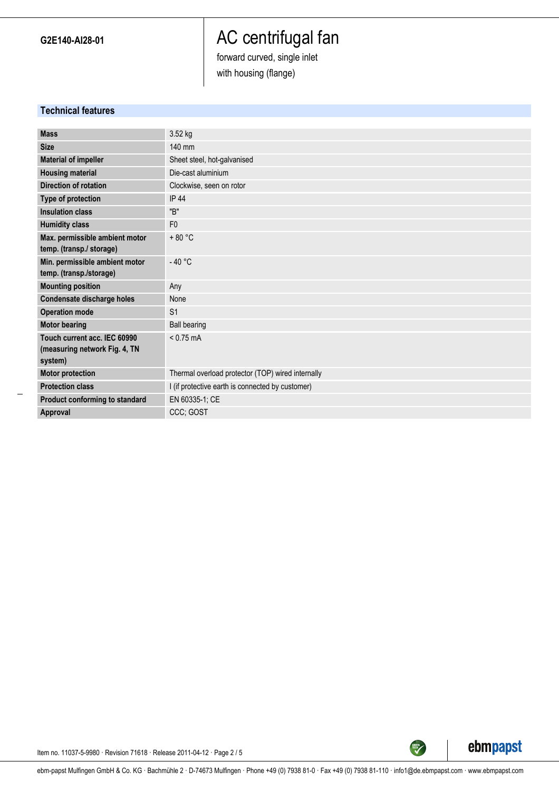# AC centrifugal fan

forward curved, single inlet

with housing (flange)

# **Technical features**

| <b>Mass</b>                    | 3.52 kg                                           |
|--------------------------------|---------------------------------------------------|
| <b>Size</b>                    | $140$ mm                                          |
| <b>Material of impeller</b>    | Sheet steel, hot-galvanised                       |
| <b>Housing material</b>        | Die-cast aluminium                                |
| <b>Direction of rotation</b>   | Clockwise, seen on rotor                          |
| Type of protection             | <b>IP 44</b>                                      |
| <b>Insulation class</b>        | "B"                                               |
| <b>Humidity class</b>          | F <sub>0</sub>                                    |
| Max. permissible ambient motor | $+80 °C$                                          |
| temp. (transp./ storage)       |                                                   |
| Min. permissible ambient motor | $-40 °C$                                          |
| temp. (transp./storage)        |                                                   |
| <b>Mounting position</b>       | Any                                               |
| Condensate discharge holes     | None                                              |
| <b>Operation mode</b>          | S <sub>1</sub>                                    |
| <b>Motor bearing</b>           | <b>Ball bearing</b>                               |
| Touch current acc. IEC 60990   | $< 0.75$ mA                                       |
| (measuring network Fig. 4, TN  |                                                   |
| system)                        |                                                   |
| <b>Motor protection</b>        | Thermal overload protector (TOP) wired internally |
| <b>Protection class</b>        | I (if protective earth is connected by customer)  |
| Product conforming to standard | EN 60335-1; CE                                    |
| Approval                       | CCC; GOST                                         |
|                                |                                                   |



Item no. 11037-5-9980 · Revision 71618 · Release 2011-04-12 · Page 2 / 5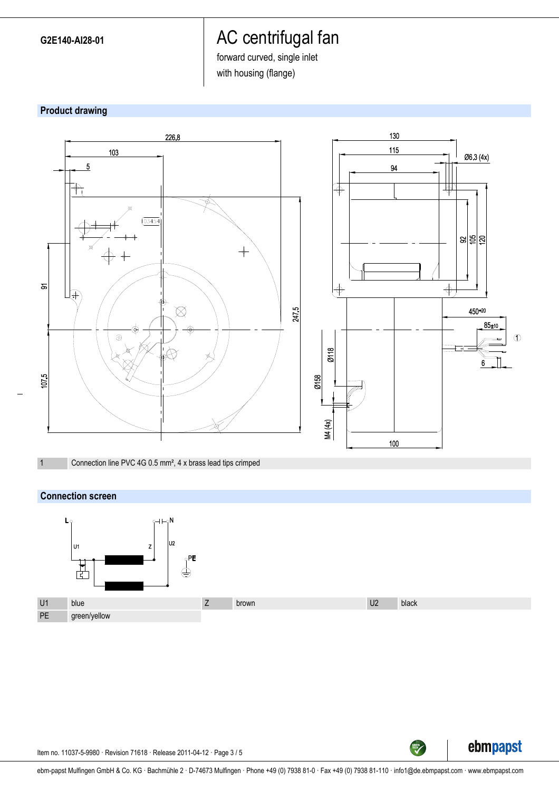# AC centrifugal fan

forward curved, single inlet

with housing (flange)





1 Connection line PVC 4G 0.5 mm², 4 x brass lead tips crimped

## **Connection screen**





TECH

Item no. 11037-5-9980 · Revision 71618 · Release 2011-04-12 · Page 3 / 5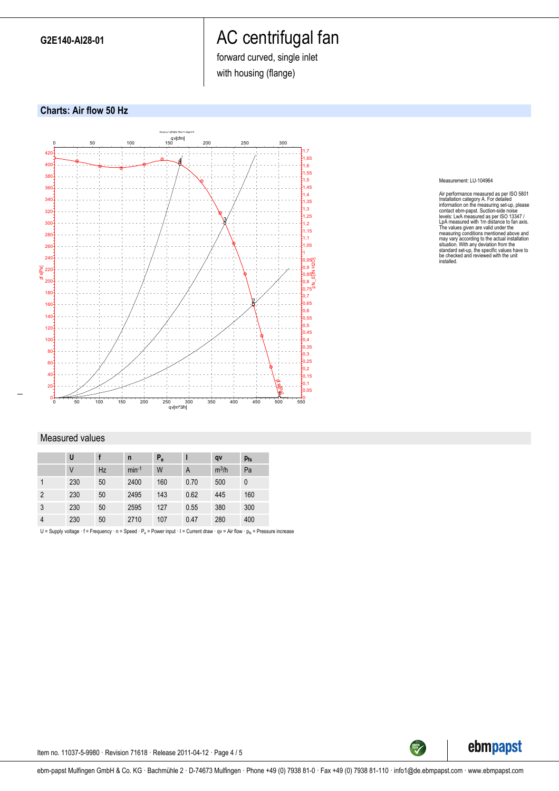**G2E140-AI28-01**

# AC centrifugal fan

forward curved, single inlet

with housing (flange)





#### Measurement: LU-104964

Air performance measured as per ISO 5801<br>Installation category A. For detailed inclonediation and information on the measuring set-up, please<br>contact ebrn-papst. Suction-side noise<br>levels: LwA measured as per ISO 13347 /<br>L

#### Measured values

|                | U      |           | n       | $P_e$ |      | qv      | $p_{fs}$ |
|----------------|--------|-----------|---------|-------|------|---------|----------|
|                | $\vee$ | <b>Hz</b> | $min-1$ | W     | A    | $m^3/h$ | Pa       |
|                | 230    | 50        | 2400    | 160   | 0.70 | 500     | 0        |
| $\overline{2}$ | 230    | 50        | 2495    | 143   | 0.62 | 445     | 160      |
| 3              | 230    | 50        | 2595    | 127   | 0.55 | 380     | 300      |
| 4              | 230    | 50        | 2710    | 107   | 0.47 | 280     | 400      |

U = Supply voltage  $\cdot f$  = Frequency  $\cdot$  n = Speed  $\cdot P_e$  = Power input  $\cdot$  I = Current draw  $\cdot$  qv = Air flow  $\cdot$   $p_{fs}$  = Pressure increase



Item no. 11037-5-9980 · Revision 71618 · Release 2011-04-12 · Page 4 / 5